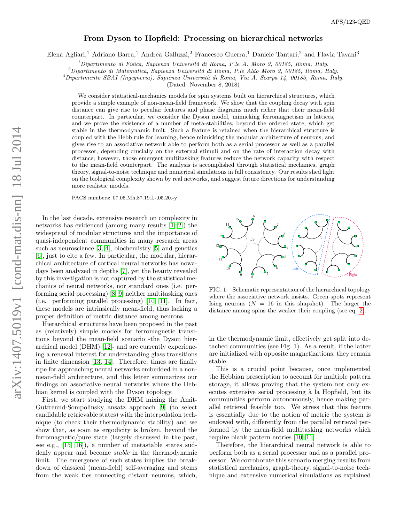## From Dyson to Hopfield: Processing on hierarchical networks

Elena Agliari,<sup>1</sup> Adriano Barra,<sup>1</sup> Andrea Galluzzi,<sup>2</sup> Francesco Guerra,<sup>1</sup> Daniele Tantari,<sup>2</sup> and Flavia Tavani<sup>3</sup>

 $1$ Dipartimento di Fisica, Sapienza Università di Roma, P.le A. Moro 2, 00185, Roma, Italy.

 $^{2}$ Dipartimento di Matematica, Sapienza Università di Roma, P.le Aldo Moro 2, 00185, Roma, Italy.

 ${}^{3}$ Dipartimento SBAI (Ingegneria), Sapienza Università di Roma, Via A. Scarpa 14, 00185, Roma, Italy.

(Dated: November 8, 2018)

We consider statistical-mechanics models for spin systems built on hierarchical structures, which provide a simple example of non-mean-field framework. We show that the coupling decay with spin distance can give rise to peculiar features and phase diagrams much richer that their mean-field counterpart. In particular, we consider the Dyson model, mimicking ferromagnetism in lattices, and we prove the existence of a number of meta-stabilities, beyond the ordered state, which get stable in the thermodynamic limit. Such a feature is retained when the hierarchical structure is coupled with the Hebb rule for learning, hence mimicking the modular architecture of neurons, and gives rise to an associative network able to perform both as a serial processor as well as a parallel processor, depending crucially on the external stimuli and on the rate of interaction decay with distance; however, those emergent multitasking features reduce the network capacity with respect to the mean-field counterpart. The analysis is accomplished through statistical mechanics, graph theory, signal-to-noise technique and numerical simulations in full consistency. Our results shed light on the biological complexity shown by real networks, and suggest future directions for understanding more realistic models.

PACS numbers: 07.05.Mh,87.19.L-,05.20.-y

In the last decade, extensive research on complexity in networks has evidenced (among many results [\[1,](#page-3-0) [2\]](#page-3-1)) the widespread of modular structures and the importance of quasi-independent communities in many research areas such as neuroscience [\[3,](#page-3-2) [4\]](#page-3-3), biochemistry [\[5\]](#page-3-4) and genetics [\[6\]](#page-3-5), just to cite a few. In particular, the modular, hierarchical architecture of cortical neural networks has nowadays been analyzed in depths [\[7\]](#page-3-6), yet the beauty revealed by this investigation is not captured by the statistical mechanics of neural networks, nor standard ones (i.e. performing serial processing) [\[8,](#page-3-7) [9\]](#page-3-8) neither multitasking ones (i.e. performing parallel processing) [\[10,](#page-4-0) [11\]](#page-4-1). In fact, these models are intrinsically mean-field, thus lacking a proper definition of metric distance among neurons.

Hierarchical structures have been proposed in the past as (relatively) simple models for ferromagnetic transitions beyond the mean-field scenario -the Dyson hierarchical model (DHM) [\[12\]](#page-4-2)- and are currently experiencing a renewal interest for understanding glass transitions in finite dimension [\[13,](#page-4-3) [14\]](#page-4-4). Therefore, times are finally ripe for approaching neural networks embedded in a nonmean-field architecture, and this letter summarizes our findings on associative neural networks where the Hebbian kernel is coupled with the Dyson topology.

First, we start studying the DHM mixing the Amit-Gutfreund-Sompolinsky ansatz approach [\[9\]](#page-3-8) (to select candidable retrievable states) with the interpolation technique (to check their thermodynamic stability) and we show that, as soon as ergodicity is broken, beyond the ferromagnetic/pure state (largely discussed in the past, see e.g., [\[15,](#page-4-5) [16\]](#page-4-6)), a number of metastable states suddenly appear and become stable in the thermodynamic limit. The emergence of such states implies the breakdown of classical (mean-field) self-averaging and stems from the weak ties connecting distant neurons, which,



FIG. 1: Schematic representation of the hierarchical topology where the associative network insists. Green spots represent Ising neurons  $(N = 16$  in this shapshot). The larger the distance among spins the weaker their coupling (see eq. [2\)](#page-1-0).

in the thermodynamic limit, effectively get split into detached communities (see Fig. 1). As a result, if the latter are initialized with opposite magnetizations, they remain stable.

This is a crucial point because, once implemented the Hebbian prescription to account for multiple pattern storage, it allows proving that the system not only executes extensive serial processing à la Hopfield, but its communities perform autonomously, hence making parallel retrieval feasible too. We stress that this feature is essentially due to the notion of metric the system is endowed with, differently from the parallel retrieval performed by the mean-field multitasking networks which require blank pattern entries [\[10,](#page-4-0) [11\]](#page-4-1).

Therefore, the hierarchical neural network is able to perform both as a serial processor and as a parallel processor. We corroborate this scenario merging results from statistical mechanics, graph-theory, signal-to-noise technique and extensive numerical simulations as explained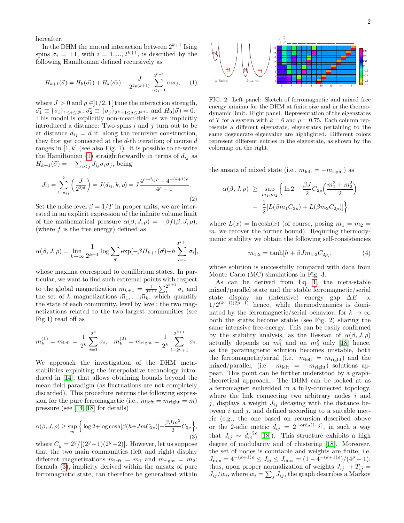hereafter.

In the DHM the mutual interaction between  $2^{k+1}$  Ising spins  $\sigma_i = \pm 1$ , with  $i = 1, ..., 2^{k+1}$ , is described by the following Hamiltonian defined recursively as

<span id="page-1-1"></span>
$$
H_{k+1}(\vec{\sigma}) = H_k(\vec{\sigma_1}) + H_k(\vec{\sigma_2}) - \frac{J}{2^{2\rho(k+1)}} \sum_{i < j=1}^{2^{k+1}} \sigma_i \sigma_j,\qquad(1)
$$

where  $J > 0$  and  $\rho \in ]1/2, 1[$  tune the interaction strength,  $\vec{\sigma_1} \equiv {\sigma_i}_{1 \leq i \leq 2^k}$ ,  $\vec{\sigma_2} \equiv {\sigma_j}_{2^k+1 \leq j \leq 2^{k+1}}$  and  $H_0(\vec{\sigma}) = 0$ . This model is explicitly non-mean-field as we implicitly introduced a distance: Two spins  $i$  and  $j$  turn out to be at distance  $d_{ij} = d$  if, along the recursive construction, they first get connected at the  $d$ -th iteration; of course  $d$ ranges in  $[1, k]$  (see also Fig. 1). It is possible to re-write the Hamiltonian [\(1\)](#page-1-1) straightforwardly in terms of  $d_{ij}$  as  $H_{k+1}(\vec{\sigma}) = -\sum_{i < j} J_{ij}\sigma_i\sigma_j$ , being

<span id="page-1-0"></span>
$$
J_{ij} = \sum_{l=d_{ij}}^{k} \left(\frac{J}{2^{2\rho l}}\right) = J(d_{ij}, k, \rho) = J \frac{4^{\rho - d_{ij}\rho} - 4^{-(k+1)\rho}}{4^{\rho} - 1}.
$$
\n(2)

Set the noise level  $\beta = 1/T$  in proper units, we are interested in an explicit expression of the infinite volume limit of the mathematical pressure  $\alpha(\beta, J, \rho) = -\beta f(\beta, J, \rho),$ (where  $f$  is the free energy) defined as

<span id="page-1-2"></span>
$$
\alpha(\beta, J, \rho) = \lim_{k \to \infty} \frac{1}{2^{k+1}} \log \sum_{\vec{\sigma}} \exp[-\beta H_{k+1}(\vec{\sigma}) + h \sum_{i=1}^{2^{k+1}} \sigma_i],
$$

whose maxima correspond to equilibrium states. In particular, we want to find such extremal points with respect to the global magnetization  $m_{k+1} = \frac{1}{2^{k+1}} \sum_{i=1}^{2^{k+1}}$  $\frac{z}{i}$   $\sigma_i$  and the set of k magnetizations  $\vec{m}_1, ..., \vec{m}_k$ , which quantify the state of each community, level by level; the two magnetizations related to the two largest communities (see Fig.1) read off as

$$
m_k^{(1)} = m_{\text{left}} = \frac{1}{2^k} \sum_{i=1}^{2^k} \sigma_i, \quad m_k^{(2)} = m_{\text{right}} = \frac{1}{2^k} \sum_{i=2^k+1}^{2^{k+1}} \sigma_i.
$$

We approach the investigation of the DHM metastabilities exploiting the interpolative technology introduced in [\[14\]](#page-4-4), that allows obtaining bounds beyond the mean-field paradigm (as fluctuations are not completely discarded). This procedure returns the following expression for the pure ferromagnetic (i.e.,  $m_{\text{left}} = m_{\text{right}} = m$ ) pressure (see [\[14,](#page-4-4) [18\]](#page-4-7) for details)

$$
\alpha(\beta, J, \rho) \ge \sup_m \left\{ \log 2 + \log \cosh[\beta(h + JmC_{2\rho})] - \frac{\beta Jm^2}{2} C_{2\rho} \right\},\tag{3}
$$

where  $C_y = \frac{2^y}{(2^y-1)(2^y-2)}$ . However, let us suppose that the two main communities (left and right) display different magnetizations  $m_{\text{left}} = m_1$  and  $m_{\text{right}} = m_2$ : formula [\(3\)](#page-1-2), implicity derived within the ansatz of pure ferromagnetic state, can therefore be generalized within



FIG. 2: Left panel: Sketch of ferromagnetic and mixed free energy minima for the DHM at finite size and in the thermodynamic limit. Right panel: Representation of the eigenstates of T for a system with  $k = 6$  and  $\rho = 0.75$ . Each column represents a different eigenstate, eigenstates pertaining to the same degenerate eigenvalue are highlighted. Different colors represent different entries in the eigenstate, as shown by the colormap on the right.

the ansatz of mixed state (i.e.,  $m_{\text{left}} = -m_{\text{right}}$ ) as

$$
\alpha(\beta, J, \rho) \ge \sup_{m_1, m_2} \left\{ \ln 2 - \frac{\beta J}{2} C_{2\rho} \left( \frac{m_1^2 + m_2^2}{2} \right) + \frac{1}{2} [L(\beta m_1 C_{2\rho}) + L(\beta m_2 C_{2\rho})] \right\},\
$$

where  $L(x) = \ln \cosh(x)$  (of course, posing  $m_1 = m_2 =$  $m$ , we recover the former bound). Requiring thermodynamic stability we obtain the following self-consistencies

$$
m_{1,2} = \tanh[h + \beta J m_{1,2} C_{2\rho}],\tag{4}
$$

whose solution is successfully compared with data from Monte Carlo (MC) simulations in Fig. 3.

As can be derived from Eq. [1,](#page-1-1) the meta-stable mixed/parallel state and the stable ferromagnetic/serial state display an (intensive) energy gap  $\Delta E \propto$  $1/2^{(k+1)(2\rho-1)}$  hence, while thermodynamics is dominated by the ferromagnetic/serial behavior, for  $k \to \infty$ both the states become stable (see Fig. 2) sharing the same intensive free-energy. This can be easily confirmed by the stability analysis, as the Hessian of  $\alpha(\beta, J, \rho)$ actually depends on  $m_1^2$  and on  $m_2^2$  only [\[18\]](#page-4-7) hence, as the paramagnetic solution becomes unstable, both the ferromagnetic/serial (i.e.  $m_{\text{left}} = m_{\text{right}}$ ) and the mixed/parallel, (i.e.  $m_{\text{left}} = -m_{\text{right}}$ ) solutions appear. This point can be further understood by a graphtheoretical approach. The DHM can be looked at as a ferromagnet embedded in a fully-connected topology, where the link connecting two arbitrary nodes  $i$  and j, displays a weight  $J_{ij}$  decaying with the distance between  $i$  and  $j$ , and defined according to a suitable metric (e.g., the one based on recursion described above or the 2-adic metric  $\tilde{d}_{ij} = 2^{-\text{ord}_2(i-j)}$ , in such a way that  $J_{ij} \sim \tilde{d}_{ij}^{-2\rho}$  [\[18\]](#page-4-7)). This structure exhibits a high degree of modularity and of clustering [\[18\]](#page-4-7). Moreover, the set of nodes is countable and weights are finite, i.e.  $J_{\min} = 4^{-(k+1)\rho} \le J_{ij} \le J_{\max} = (1 - 4^{-(k+1)\rho})/(4^{\rho} - 1),$ thus, upon proper normalization of weights  $J_{ij} \rightarrow T_{ij}$  $J_{ij}/w_i$ , where  $w_i = \sum_j J_{ij}$ , the graph describes a Markov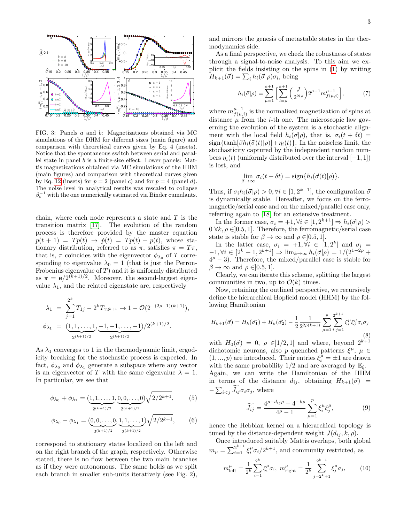

FIG. 3: Panels a and b: Magnetizations obtained via MC simulations of the DHM for different sizes (main figure) and comparison with theoretical curves given by Eq. 4 (insets). Notice that the spontaneous switch between serial and parallel state in panel b is a finite-size effect. Lower panels: Mattis magnetizations obtained via MC simulations of the HHM (main figures) and comparison with theoretical curves given by Eq. [12](#page-3-9) (insets) for  $p = 2$  (panel c) and for  $p = 4$  (panel d). The noise level in analytical results was rescaled to collapse  $\beta_c^{-1}$  with the one numerically estimated via Binder cumulants.

chain, where each node represents a state and  $T$  is the transition matrix [\[17\]](#page-4-8). The evolution of the random process is therefore provided by the master equation  $p(t + 1) = T p(t) \rightarrow \dot{p}(t) = T p(t) - p(t)$ , whose stationary distribution, referred to as  $\pi$ , satisfies  $\pi = T\pi$ , that is,  $\pi$  coincides with the eigenvector  $\phi_{\lambda_0}$  of T corresponding to eigenvalue  $\lambda_0 = 1$  (that is just the Perron-Frobenius eigenvalue of  $T$ ) and it is uniformly distributed as  $\pi = e/2^{(k+1)/2}$ . Moreover, the second-largest eigenvalue  $\lambda_1$ , and the related eigenstate are, respectively

$$
\lambda_1 = \sum_{j=1}^{2^k} T_{1j} - 2^k T_{12^{k+1}} \to 1 - \mathcal{O}(2^{-(2\rho - 1)(k+1)}),
$$
  

$$
\phi_{\lambda_1} = (\underbrace{1, 1, \dots, 1}_{2^{(k+1)/2}}, \underbrace{-1, -1, \dots, -1}_{2^{(k+1)/2}})/2^{(k+1)/2}.
$$

As  $\lambda_1$  converges to 1 in the thermodynamic limit, ergodicity breaking for the stochastic process is expected. In fact,  $\phi_{\lambda_0}$  and  $\phi_{\lambda_1}$  generate a subspace where any vector is an eigenvector of T with the same eigenvalue  $\lambda = 1$ . In particular, we see that

$$
\phi_{\lambda_0} + \phi_{\lambda_1} = (\underbrace{1, 1, \dots, 1}_{2^{(k+1)/2}}, \underbrace{0, 0, \dots, 0}_{2^{(k+1)/2}}) \sqrt{2/2^{k+1}},
$$
 (5)

$$
\phi_{\lambda_0} - \phi_{\lambda_1} = (\underbrace{0, 0, \dots, 0}_{2^{(k+1)/2}}, \underbrace{1, 1, \dots, 1}_{2^{(k+1)/2}}) \sqrt{2/2^{k+1}},
$$
 (6)

correspond to stationary states localized on the left and on the right branch of the graph, respectively. Otherwise stated, there is no flow between the two main branches as if they were autonomous. The same holds as we split each branch in smaller sub-units iteratively (see Fig. 2), and mirrors the genesis of metastable states in the thermodynamics side.

As a final perspective, we check the robustness of states through a signal-to-noise analysis. To this aim we explicit the fields insisting on the spins in [\(1\)](#page-1-1) by writing  $H_{k+1}(\vec{\sigma}) = \sum_i h_i(\vec{\sigma}|\rho)\sigma_i$ , being

$$
h_i(\vec{\sigma}|\rho) = \sum_{\mu=1}^{k+1} \left[ \sum_{l=\mu}^{k+1} \left( \frac{J}{2^{2l\rho}} \right) 2^{\mu-1} m_{f(\mu,i)}^{\mu-1} \right],\tag{7}
$$

where  $m_{f(u)}^{\mu-1}$  $f^{ \mu -1}_{( \mu, i)}$  is the normalized magnetization of spins at distance  $\mu$  from the *i*-th one. The microscopic law governing the evolution of the system is a stochastic alignment with the local field  $h_i(\vec{\sigma}|\rho)$ , that is,  $\sigma_i(t + \delta t)$  $sign\{\tanh[\beta h_i(\tilde{\sigma}(t)|\rho)]+\eta_i(t)\}\.$  In the noiseless limit, the stochasticity captured by the independent random numbers  $\eta_i(t)$  (uniformly distributed over the interval [−1, 1]) is lost, and

$$
\lim_{\beta \to \infty} \sigma_i(t + \delta t) = \text{sign}\{h_i(\vec{\sigma}(t)|\rho)\}.
$$

Thus, if  $\sigma_i h_i(\vec{\sigma}|\rho) > 0, \forall i \in [1, 2^{k+1}],$  the configuration  $\vec{\sigma}$ is dynamically stable. Hereafter, we focus on the ferromagnetic/serial case and on the mixed/parallel case only, referring again to [\[18\]](#page-4-7) for an extensive treatment.

In the former case,  $\sigma_i = +1, \forall i \in [1, 2^{k+1}] \Rightarrow h_i(\vec{\sigma}|\rho) >$  $0 \forall k, \rho \in ]0.5, 1]$ . Therefore, the ferromagnetic/serial case state is stable for  $\beta \to \infty$  and  $\rho \in ]0.5, 1]$ .

In the latter case,  $\sigma_i = +1, \forall i \in [1, 2^k]$  and  $\sigma_i =$  $-1, \forall i \in [2^k + 1, 2^{k+1}] \Rightarrow \lim_{k \to \infty} h_i(\vec{\sigma}|\rho) = 1/(2^{1-2\rho} +$  $4^{\rho}-3$ ). Therefore, the mixed/parallel case is stable for  $\beta \to \infty$  and  $\rho \in ]0.5, 1]$ .

Clearly, we can iterate this scheme, splitting the largest communities in two, up to  $\mathcal{O}(k)$  times.

Now, retaining the outlined perspective, we recursively define the hierarchical Hopfield model (HHM) by the following Hamiltonian

$$
H_{k+1}(\vec{\sigma}) = H_k(\vec{\sigma_1}) + H_k(\vec{\sigma_2}) - \frac{1}{2} \frac{1}{2^{2\rho(k+1)}} \sum_{\mu=1}^p \sum_{i,j=1}^{2^{k+1}} \xi_i^{\mu} \xi_j^{\mu} \sigma_i \sigma_j
$$
\n(8)

with  $H_0(\vec{\sigma}) = 0$ ,  $\rho \in ]1/2,1[$  and where, beyond  $2^{k+1}$ dichotomic neurons, also p quenched patterns  $\xi^{\mu}$ ,  $\mu \in$  $(1, ..., p)$  are introduced. Their entries  $\xi_i^{\hat{\mu}} = \pm 1$  are drawn with the same probability 1/2 and are averaged by  $\mathbb{E}_{\xi}$ . Again, we can write the Hamiltonian of the HHM in terms of the distance  $d_{ij}$ , obtaining  $H_{k+1}(\vec{\sigma})$  =  $-\sum_{i, where$ 

$$
\widetilde{J_{ij}} = \frac{4^{\rho - d_{ij}\rho} - 4^{-k\rho}}{4^{\rho} - 1} \sum_{\mu=1}^{p} \xi_i^{\mu} \xi_j^{\mu},\tag{9}
$$

hence the Hebbian kernel on a hierarchical topology is tuned by the distance-dependent weight  $J(d_{ij}, k, \rho)$ .

Once introduced suitably Mattis overlaps, both global  $m_{\mu} = \sum_{i=1}^{2^{k+1}} \xi_i^{\mu} \sigma_i / 2^{k+1}$ , and community restricted, as

$$
m_{\text{left}}^{\mu} = \frac{1}{2^k} \sum_{i=1}^{2^k} \xi_i^{\mu} \sigma_i, \ m_{\text{right}}^{\mu} = \frac{1}{2^k} \sum_{j=2^k+1}^{2^{k+1}} \xi_j^{\mu} \sigma_j, \qquad (10)
$$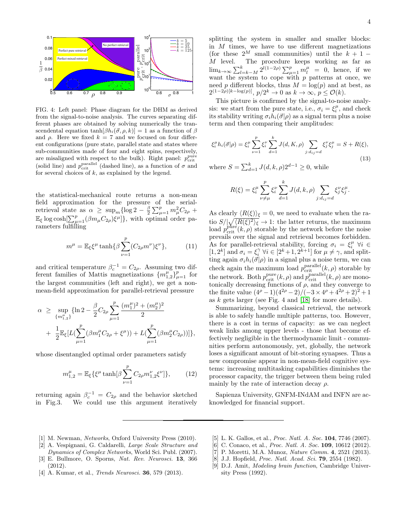

FIG. 4: Left panel: Phase diagram for the DHM as derived from the signal-to-noise analysis. The curves separating different phases are obtained by solving numerically the transcendental equation tanh $[\beta h_i(\vec{\sigma}, \rho, k)] = 1$  as a function of  $\beta$ and  $\rho$ . Here we fixed  $k = 7$  and we focused on four different configurations (pure state, parallel state and states where sub-communities made of four and eight spins, respectively, are misaligned with respect to the bulk). Right panel:  $p_{\text{crit}}^{\text{pure}}$ (solid line) and  $p_{\text{crit}}^{\text{parallel}}$  (dashed line), as a function of  $\sigma$  and for several choices of  $k$ , as explained by the legend.

the statistical-mechanical route returns a non-mean field approximation for the pressure of the serialretrieval state as  $\alpha \ge \sup_m {\log 2 - \frac{\beta}{2} \sum_{\mu=1}^p m_{\mu}^2 C_{2\rho}} +$  $\mathbb{E}_{\xi} \log \cosh \left[\sum_{\mu=1}^{p} (\beta m_{\mu} C_{2\rho}) \xi^{\mu} \right]$ , with optimal order parameters fulfilling

$$
m^{\mu} = \mathbb{E}_{\xi} \xi^{\mu} \tanh\{\beta \sum_{\nu=1}^{p} (C_{2\rho} m^{\nu}) \xi^{\nu}\},\tag{11}
$$

and critical temperature  $\beta_c^{-1} = C_{2\rho}$ . Assuming two different families of Mattis magnetizations  $\{m_{1,2}^{\mu}\}_{\mu=1}^{p}$  for the largest communities (left and right), we get a nonmean-field approximation for parallel-retrieval pressure

<span id="page-3-9"></span>
$$
\begin{array}{lcl} \alpha & \geq & \displaystyle \sup_{\{m_{1,2}^\mu\}} \{ \ln 2 - \frac{\beta}{2} C_{2\rho} \sum_{\mu=1}^p \frac{(m_1^\mu)^2 + (m_2^\mu)^2}{2} \\ & + & \displaystyle \frac{1}{2} \mathbb{E}_\xi [ L(\sum_{\mu=1}^p (\beta m_1^\mu C_{2\rho} + \xi^\mu)) + L(\sum_{\mu=1}^p (\beta m_2^\mu C_{2\rho})) ] \}, \end{array}
$$

whose disentangled optimal order parameters satisfy

$$
m_{1,2}^{\mu} = \mathbb{E}_{\xi} \{ \xi^{\mu} \tanh[\beta \sum_{\nu=1}^{p} C_{2\rho} m_{1,2}^{\nu} \xi^{\nu}] \}, \qquad (12)
$$

returning again  $\beta_c^{-1} = C_{2\rho}$  and the behavior sketched in Fig.3. We could use this argument iteratively

splitting the system in smaller and smaller blocks: in  $M$  times, we have to use different magnetizations (for these  $2^M$  small communities) until the  $k + 1 -$ M level. The procedure keeps working as far as  $\lim_{k\to\infty}\sum_{l=k-M}^{k} 2^{l(1-2\rho)}\sum_{\mu=1}^{p} m_l^{\mu} = 0$ , hence, if we want the system to cope with  $p$  patterns at once, we need p different blocks, thus  $M = \log(p)$  and at best, as  $2^{(1-2\rho)[k-\log(p)]}, p/2^k \to 0 \text{ as } k \to \infty, p \leq \mathcal{O}(k).$ 

This picture is confirmed by the signal-to-noise analysis: we start from the pure state, i.e.,  $\sigma_i = \xi_i^{\mu}$ , and check its stability writing  $\sigma_i h_i(\vec{\sigma}|\rho)$  as a signal term plus a noise term and then comparing their amplitudes:

$$
\xi_i^{\mu} h_i(\vec{\sigma}|\rho) = \xi_i^{\mu} \sum_{\nu=1}^p \xi_i^{\nu} \sum_{d=1}^k J(d, K, \rho) \sum_{j:d_{ij}=d} \xi_j^{\nu} \xi_j^{\mu} = S + R(\xi), \tag{13}
$$

where  $S = \sum_{d=1}^{k} J(d, k, \rho) 2^{d-1} \geq 0$ , while

$$
R(\xi) = \xi_i^{\mu} \sum_{\nu \neq \mu}^{p} \xi_i^{\nu} \sum_{d=1}^{k} J(d, k, \rho) \sum_{j:d_{ij}=d} \xi_j^{\nu} \xi_j^{\mu}.
$$

As clearly  $\langle R(\xi)\rangle_{\xi} = 0$ , we need to evaluate when the ratio  $S/\sqrt{\langle R(\xi)^2 \rangle_{\xi}} \to 1$ : the latter returns, the maximum load  $p_{\text{crit}}^{\text{pure}}(k,\rho)$  storable by the network before the noise prevails over the signal and retrieval becomes forbidden. As for parallel-retrieval stability, forcing  $\sigma_i = \xi_i^{\mu}$   $\forall i \in$  $[1, 2^k]$  and  $\sigma_i = \xi_i^{\gamma} \ \forall i \in [2^k + 1, 2^{k+1}]$  for  $\mu \neq \gamma$ , and splitting again  $\sigma_i h_i(\vec{\sigma}|\rho)$  in a signal plus a noise term, we can check again the maximum load  $p_{\text{crit}}^{\text{parallel}}(k, \rho)$  storable by the network. Both  $p_{\text{crit}}^{\text{pure}}(k,\rho)$  and  $p_{\text{crit}}^{\text{parallel}}(k,\rho)$  are monotonically decreasing functions of  $\rho$ , and they converge to the finite value  $(4^{\rho}-1)(4^{2\rho}-2)/(-3 \times 4^{\rho}+4^{2\rho}+2)^2+1$ as k gets larger (see Fig. 4 and [\[18\]](#page-4-7) for more details).

Summarizing, beyond classical retrieval, the network is able to safely handle multiple patterns, too. However, there is a cost in terms of capacity: as we can neglect weak links among upper levels - those that become effectively negligible in the thermodynamic limit - communities perform autonomously, yet, globally, the network loses a significant amount of bit-storing synapses. Thus a new compromise appear in non-mean-field cognitive systems: increasing multitasking capabilities diminishes the processor capacity, the trigger between them being ruled mainly by the rate of interaction decay  $\rho$ .

Sapienza University, GNFM-INdAM and INFN are acknowledged for financial support.

- <span id="page-3-0"></span>[1] M. Newman, Networks, Oxford University Press (2010).
- <span id="page-3-1"></span>[2] A. Vespignani, G. Caldarelli, Large Scale Structure and
- <span id="page-3-2"></span>Dynamics of Complex Networks, World Sci. Publ. (2007). [3] E. Bullmore, O. Sporns, Nat. Rev. Neurosci. 13, 366 (2012).
- <span id="page-3-3"></span>[4] A. Kumar, et al., *Trends Neurosci*. **36**, 579 (2013).
- <span id="page-3-4"></span>[5] L. K. Gallos, et al., Proc. Natl. A. Soc. 104, 7746 (2007).
- <span id="page-3-5"></span>[6] C. Conaco, et al., *Proc. Natl. A. Soc.* **109**, 10612 (2012).
- <span id="page-3-6"></span>[7] P. Moretti, M.A. Munoz, Nature Comm. 4, 2521 (2013).
- <span id="page-3-7"></span>[8] J.J. Hopfield, *Proc. Natl. Acad. Sci.* **79**, 2554 (1982).
- <span id="page-3-8"></span>[9] D.J. Amit, Modeling brain function, Cambridge University Press (1992).